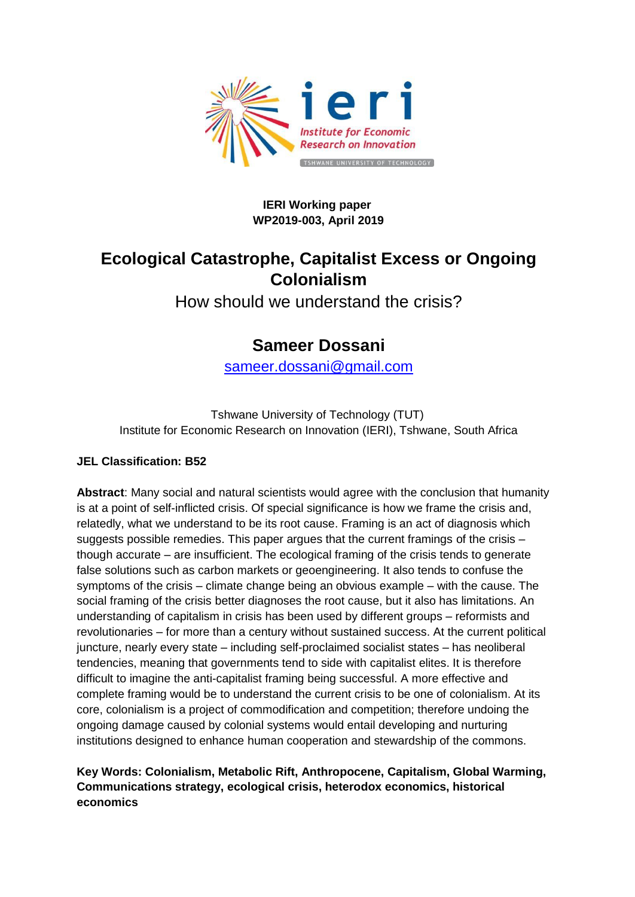

#### **IERI Working paper WP2019-003, April 2019**

# **Ecological Catastrophe, Capitalist Excess or Ongoing Colonialism**

How should we understand the crisis?

# **Sameer Dossani**

[sameer.dossani@gmail.com](mailto:sameer.dossani@gmail.com)

Tshwane University of Technology (TUT) Institute for Economic Research on Innovation (IERI), Tshwane, South Africa

#### **JEL Classification: B52**

**Abstract**: Many social and natural scientists would agree with the conclusion that humanity is at a point of self-inflicted crisis. Of special significance is how we frame the crisis and, relatedly, what we understand to be its root cause. Framing is an act of diagnosis which suggests possible remedies. This paper argues that the current framings of the crisis – though accurate – are insufficient. The ecological framing of the crisis tends to generate false solutions such as carbon markets or geoengineering. It also tends to confuse the symptoms of the crisis – climate change being an obvious example – with the cause. The social framing of the crisis better diagnoses the root cause, but it also has limitations. An understanding of capitalism in crisis has been used by different groups – reformists and revolutionaries – for more than a century without sustained success. At the current political juncture, nearly every state – including self-proclaimed socialist states – has neoliberal tendencies, meaning that governments tend to side with capitalist elites. It is therefore difficult to imagine the anti-capitalist framing being successful. A more effective and complete framing would be to understand the current crisis to be one of colonialism. At its core, colonialism is a project of commodification and competition; therefore undoing the ongoing damage caused by colonial systems would entail developing and nurturing institutions designed to enhance human cooperation and stewardship of the commons.

**Key Words: Colonialism, Metabolic Rift, Anthropocene, Capitalism, Global Warming, Communications strategy, ecological crisis, heterodox economics, historical economics**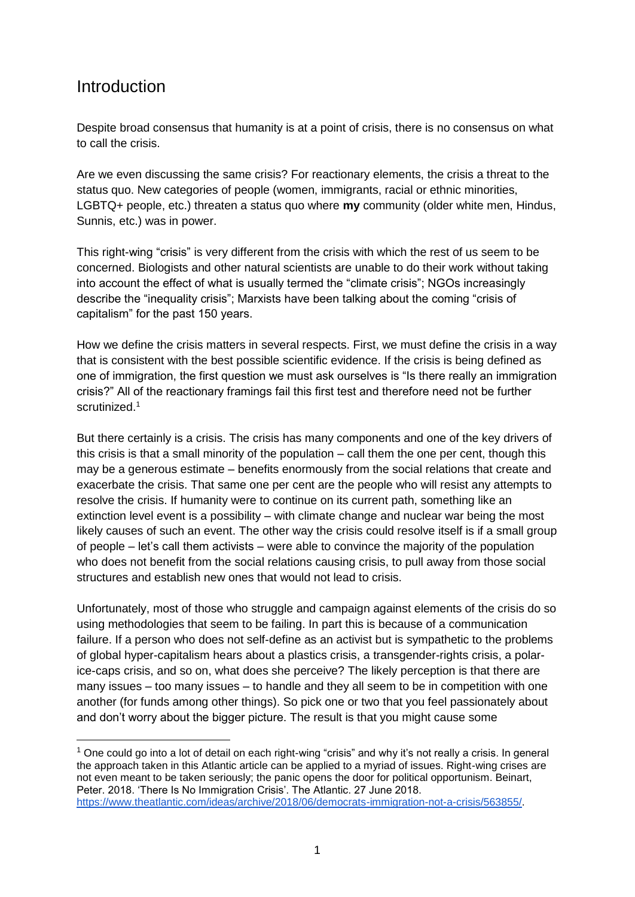#### **Introduction**

-

Despite broad consensus that humanity is at a point of crisis, there is no consensus on what to call the crisis.

Are we even discussing the same crisis? For reactionary elements, the crisis a threat to the status quo. New categories of people (women, immigrants, racial or ethnic minorities, LGBTQ+ people, etc.) threaten a status quo where **my** community (older white men, Hindus, Sunnis, etc.) was in power.

This right-wing "crisis" is very different from the crisis with which the rest of us seem to be concerned. Biologists and other natural scientists are unable to do their work without taking into account the effect of what is usually termed the "climate crisis"; NGOs increasingly describe the "inequality crisis"; Marxists have been talking about the coming "crisis of capitalism" for the past 150 years.

How we define the crisis matters in several respects. First, we must define the crisis in a way that is consistent with the best possible scientific evidence. If the crisis is being defined as one of immigration, the first question we must ask ourselves is "Is there really an immigration crisis?" All of the reactionary framings fail this first test and therefore need not be further scrutinized.<sup>1</sup>

But there certainly is a crisis. The crisis has many components and one of the key drivers of this crisis is that a small minority of the population – call them the one per cent, though this may be a generous estimate – benefits enormously from the social relations that create and exacerbate the crisis. That same one per cent are the people who will resist any attempts to resolve the crisis. If humanity were to continue on its current path, something like an extinction level event is a possibility – with climate change and nuclear war being the most likely causes of such an event. The other way the crisis could resolve itself is if a small group of people – let's call them activists – were able to convince the majority of the population who does not benefit from the social relations causing crisis, to pull away from those social structures and establish new ones that would not lead to crisis.

Unfortunately, most of those who struggle and campaign against elements of the crisis do so using methodologies that seem to be failing. In part this is because of a communication failure. If a person who does not self-define as an activist but is sympathetic to the problems of global hyper-capitalism hears about a plastics crisis, a transgender-rights crisis, a polarice-caps crisis, and so on, what does she perceive? The likely perception is that there are many issues – too many issues – to handle and they all seem to be in competition with one another (for funds among other things). So pick one or two that you feel passionately about and don't worry about the bigger picture. The result is that you might cause some

 $1$  One could go into a lot of detail on each right-wing "crisis" and why it's not really a crisis. In general the approach taken in this Atlantic article can be applied to a myriad of issues. Right-wing crises are not even meant to be taken seriously; the panic opens the door for political opportunism. Beinart, Peter. 2018. 'There Is No Immigration Crisis'. The Atlantic. 27 June 2018[.](https://www.theatlantic.com/ideas/archive/2018/06/democrats-immigration-not-a-crisis/563855/) [https://www.theatlantic.com/ideas/archive/2018/06/democrats-immigration-not-a-crisis/563855/.](https://www.theatlantic.com/ideas/archive/2018/06/democrats-immigration-not-a-crisis/563855/)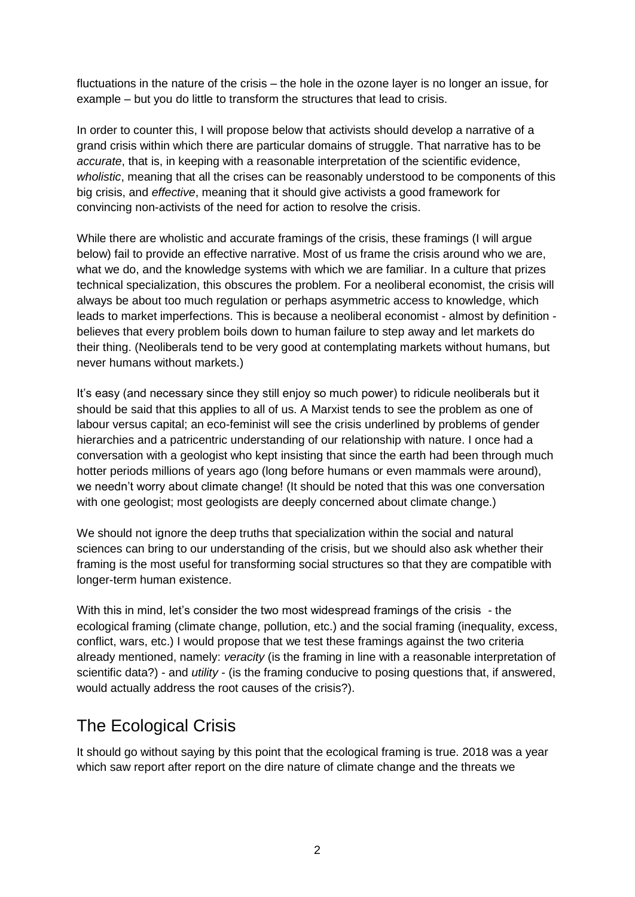fluctuations in the nature of the crisis – the hole in the ozone layer is no longer an issue, for example – but you do little to transform the structures that lead to crisis.

In order to counter this, I will propose below that activists should develop a narrative of a grand crisis within which there are particular domains of struggle. That narrative has to be *accurate*, that is, in keeping with a reasonable interpretation of the scientific evidence, *wholistic*, meaning that all the crises can be reasonably understood to be components of this big crisis, and *effective*, meaning that it should give activists a good framework for convincing non-activists of the need for action to resolve the crisis.

While there are wholistic and accurate framings of the crisis, these framings (I will argue below) fail to provide an effective narrative. Most of us frame the crisis around who we are, what we do, and the knowledge systems with which we are familiar. In a culture that prizes technical specialization, this obscures the problem. For a neoliberal economist, the crisis will always be about too much regulation or perhaps asymmetric access to knowledge, which leads to market imperfections. This is because a neoliberal economist - almost by definition believes that every problem boils down to human failure to step away and let markets do their thing. (Neoliberals tend to be very good at contemplating markets without humans, but never humans without markets.)

It's easy (and necessary since they still enjoy so much power) to ridicule neoliberals but it should be said that this applies to all of us. A Marxist tends to see the problem as one of labour versus capital; an eco-feminist will see the crisis underlined by problems of gender hierarchies and a patricentric understanding of our relationship with nature. I once had a conversation with a geologist who kept insisting that since the earth had been through much hotter periods millions of years ago (long before humans or even mammals were around), we needn't worry about climate change! (It should be noted that this was one conversation with one geologist; most geologists are deeply concerned about climate change.)

We should not ignore the deep truths that specialization within the social and natural sciences can bring to our understanding of the crisis, but we should also ask whether their framing is the most useful for transforming social structures so that they are compatible with longer-term human existence.

With this in mind, let's consider the two most widespread framings of the crisis - the ecological framing (climate change, pollution, etc.) and the social framing (inequality, excess, conflict, wars, etc.) I would propose that we test these framings against the two criteria already mentioned, namely: *veracity* (is the framing in line with a reasonable interpretation of scientific data?) - and *utility* - (is the framing conducive to posing questions that, if answered, would actually address the root causes of the crisis?).

# The Ecological Crisis

It should go without saying by this point that the ecological framing is true. 2018 was a year which saw report after report on the dire nature of climate change and the threats we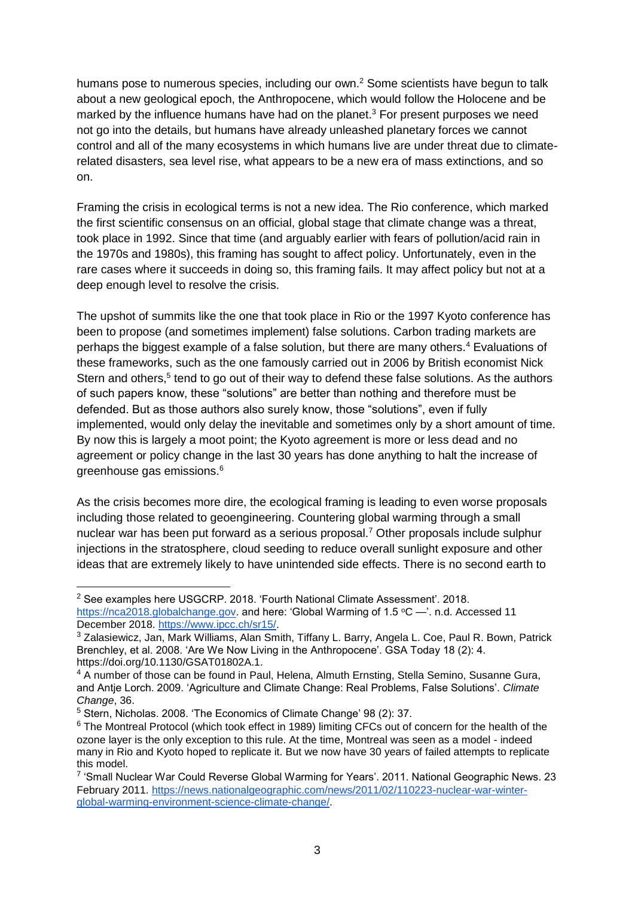humans pose to numerous species, including our own.<sup>2</sup> Some scientists have begun to talk about a new geological epoch, the Anthropocene, which would follow the Holocene and be marked by the influence humans have had on the planet.<sup>3</sup> For present purposes we need not go into the details, but humans have already unleashed planetary forces we cannot control and all of the many ecosystems in which humans live are under threat due to climaterelated disasters, sea level rise, what appears to be a new era of mass extinctions, and so on.

Framing the crisis in ecological terms is not a new idea. The Rio conference, which marked the first scientific consensus on an official, global stage that climate change was a threat, took place in 1992. Since that time (and arguably earlier with fears of pollution/acid rain in the 1970s and 1980s), this framing has sought to affect policy. Unfortunately, even in the rare cases where it succeeds in doing so, this framing fails. It may affect policy but not at a deep enough level to resolve the crisis.

The upshot of summits like the one that took place in Rio or the 1997 Kyoto conference has been to propose (and sometimes implement) false solutions. Carbon trading markets are perhaps the biggest example of a false solution, but there are many others.<sup>4</sup> Evaluations of these frameworks, such as the one famously carried out in 2006 by British economist Nick Stern and others,<sup>5</sup> tend to go out of their way to defend these false solutions. As the authors of such papers know, these "solutions" are better than nothing and therefore must be defended. But as those authors also surely know, those "solutions", even if fully implemented, would only delay the inevitable and sometimes only by a short amount of time. By now this is largely a moot point; the Kyoto agreement is more or less dead and no agreement or policy change in the last 30 years has done anything to halt the increase of greenhouse gas emissions.<sup>6</sup>

As the crisis becomes more dire, the ecological framing is leading to even worse proposals including those related to geoengineering. Countering global warming through a small nuclear war has been put forward as a serious proposal.<sup>7</sup> Other proposals include sulphur injections in the stratosphere, cloud seeding to reduce overall sunlight exposure and other ideas that are extremely likely to have unintended side effects. There is no second earth to

<sup>&</sup>lt;sup>2</sup> See examples here USGCRP[.](https://nca2018.globalchange.gov/) 2018. 'Fourth National Climate Assessment'. 2018. [https://nca2018.globalchange.gov.](https://nca2018.globalchange.gov/) and here: 'Global Warming of 1.5 °C —'. n.d. Accessed 11 December 2018. [https://www.ipcc.ch/sr15/.](https://www.ipcc.ch/sr15/)

<sup>3</sup> Zalasiewicz, Jan, Mark Williams, Alan Smith, Tiffany L. Barry, Angela L. Coe, Paul R. Bown, Patrick Brenchley, et al. 2008. 'Are We Now Living in the Anthropocene'. GSA Today 18 (2): 4. https://doi.org/10.1130/GSAT01802A.1.

<sup>&</sup>lt;sup>4</sup> A number of those can be found in Paul, Helena, Almuth Ernsting, Stella Semino, Susanne Gura, and Antje Lorch. 2009. 'Agriculture and Climate Change: Real Problems, False Solutions'. *Climate Change*, 36.

<sup>5</sup> Stern, Nicholas. 2008. 'The Economics of Climate Change' 98 (2): 37.

<sup>&</sup>lt;sup>6</sup> The Montreal Protocol (which took effect in 1989) limiting CFCs out of concern for the health of the ozone layer is the only exception to this rule. At the time, Montreal was seen as a model - indeed many in Rio and Kyoto hoped to replicate it. But we now have 30 years of failed attempts to replicate this model.

<sup>&</sup>lt;sup>7</sup> 'Small Nuclear War Could Reverse Global Warming for Years'. 2011. National Geographic News. 23 February 2011. [https://news.nationalgeographic.com/news/2011/02/110223-nuclear-war-winter](https://news.nationalgeographic.com/news/2011/02/110223-nuclear-war-winter-global-warming-environment-science-climate-change/)[global-warming-environment-science-climate-change/.](https://news.nationalgeographic.com/news/2011/02/110223-nuclear-war-winter-global-warming-environment-science-climate-change/)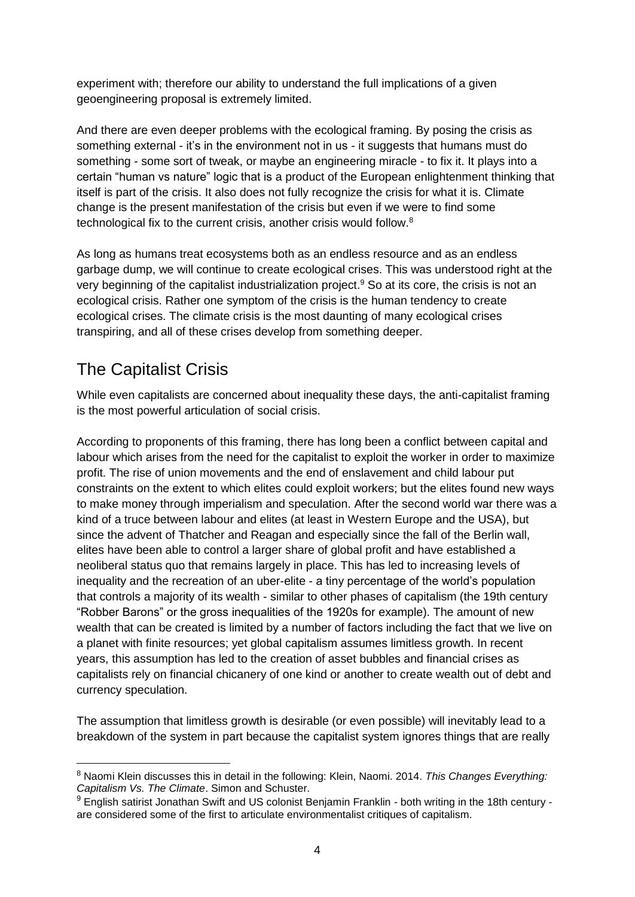experiment with; therefore our ability to understand the full implications of a given geoengineering proposal is extremely limited.

And there are even deeper problems with the ecological framing. By posing the crisis as something external - it's in the environment not in us - it suggests that humans must do something - some sort of tweak, or maybe an engineering miracle - to fix it. It plays into a certain "human vs nature" logic that is a product of the European enlightenment thinking that itself is part of the crisis. It also does not fully recognize the crisis for what it is. Climate change is the present manifestation of the crisis but even if we were to find some technological fix to the current crisis, another crisis would follow. $8$ 

As long as humans treat ecosystems both as an endless resource and as an endless garbage dump, we will continue to create ecological crises. This was understood right at the very beginning of the capitalist industrialization project.<sup>9</sup> So at its core, the crisis is not an ecological crisis. Rather one symptom of the crisis is the human tendency to create ecological crises. The climate crisis is the most daunting of many ecological crises transpiring, and all of these crises develop from something deeper.

# The Capitalist Crisis

-

While even capitalists are concerned about inequality these days, the anti-capitalist framing is the most powerful articulation of social crisis.

According to proponents of this framing, there has long been a conflict between capital and labour which arises from the need for the capitalist to exploit the worker in order to maximize profit. The rise of union movements and the end of enslavement and child labour put constraints on the extent to which elites could exploit workers; but the elites found new ways to make money through imperialism and speculation. After the second world war there was a kind of a truce between labour and elites (at least in Western Europe and the USA), but since the advent of Thatcher and Reagan and especially since the fall of the Berlin wall, elites have been able to control a larger share of global profit and have established a neoliberal status quo that remains largely in place. This has led to increasing levels of inequality and the recreation of an uber-elite - a tiny percentage of the world's population that controls a majority of its wealth - similar to other phases of capitalism (the 19th century "Robber Barons" or the gross inequalities of the 1920s for example). The amount of new wealth that can be created is limited by a number of factors including the fact that we live on a planet with finite resources; yet global capitalism assumes limitless growth. In recent years, this assumption has led to the creation of asset bubbles and financial crises as capitalists rely on financial chicanery of one kind or another to create wealth out of debt and currency speculation.

The assumption that limitless growth is desirable (or even possible) will inevitably lead to a breakdown of the system in part because the capitalist system ignores things that are really

<sup>8</sup> Naomi Klein discusses this in detail in the following: Klein, Naomi. 2014. *This Changes Everything: Capitalism Vs. The Climate*. Simon and Schuster.

<sup>9</sup> English satirist Jonathan Swift and US colonist Benjamin Franklin - both writing in the 18th century are considered some of the first to articulate environmentalist critiques of capitalism.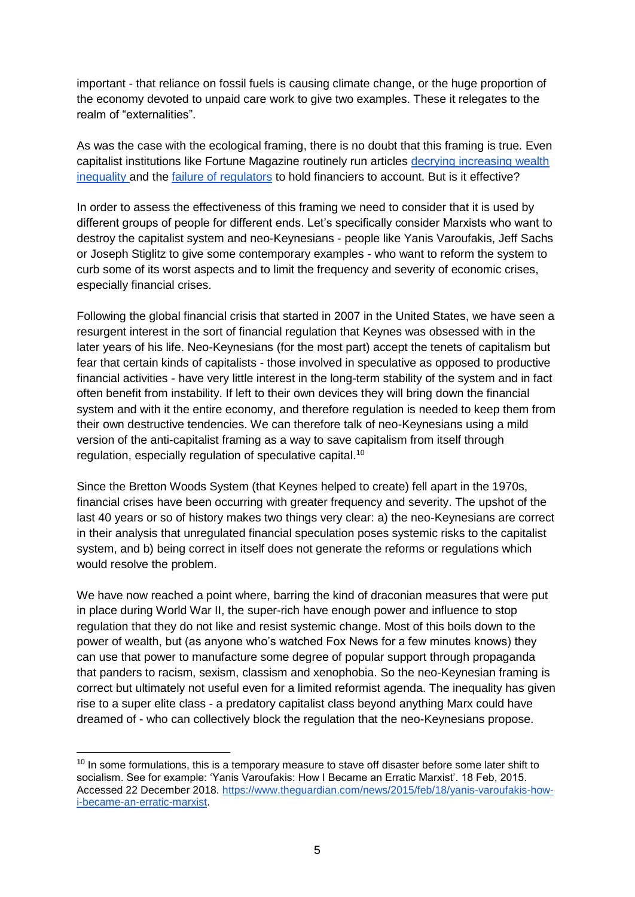important - that reliance on fossil fuels is causing climate change, or the huge proportion of the economy devoted to unpaid care work to give two examples. These it relegates to the realm of "externalities".

As was the case with the ecological framing, there is no doubt that this framing is true. Even capitalist institutions like Fortune Magazine routinely run articles [decrying increasing wealth](http://fortune.com/2013/12/12/addressing-economic-inequality-in-2014/)  [inequality a](http://fortune.com/2013/12/12/addressing-economic-inequality-in-2014/)nd the [failure of regulators](http://fortune.com/2018/09/14/2008-financial-crisis-lehman-brothers/) to hold financiers to account. But is it effective?

In order to assess the effectiveness of this framing we need to consider that it is used by different groups of people for different ends. Let's specifically consider Marxists who want to destroy the capitalist system and neo-Keynesians - people like Yanis Varoufakis, Jeff Sachs or Joseph Stiglitz to give some contemporary examples - who want to reform the system to curb some of its worst aspects and to limit the frequency and severity of economic crises, especially financial crises.

Following the global financial crisis that started in 2007 in the United States, we have seen a resurgent interest in the sort of financial regulation that Keynes was obsessed with in the later years of his life. Neo-Keynesians (for the most part) accept the tenets of capitalism but fear that certain kinds of capitalists - those involved in speculative as opposed to productive financial activities - have very little interest in the long-term stability of the system and in fact often benefit from instability. If left to their own devices they will bring down the financial system and with it the entire economy, and therefore regulation is needed to keep them from their own destructive tendencies. We can therefore talk of neo-Keynesians using a mild version of the anti-capitalist framing as a way to save capitalism from itself through regulation, especially regulation of speculative capital.<sup>10</sup>

Since the Bretton Woods System (that Keynes helped to create) fell apart in the 1970s, financial crises have been occurring with greater frequency and severity. The upshot of the last 40 years or so of history makes two things very clear: a) the neo-Keynesians are correct in their analysis that unregulated financial speculation poses systemic risks to the capitalist system, and b) being correct in itself does not generate the reforms or regulations which would resolve the problem.

We have now reached a point where, barring the kind of draconian measures that were put in place during World War II, the super-rich have enough power and influence to stop regulation that they do not like and resist systemic change. Most of this boils down to the power of wealth, but (as anyone who's watched Fox News for a few minutes knows) they can use that power to manufacture some degree of popular support through propaganda that panders to racism, sexism, classism and xenophobia. So the neo-Keynesian framing is correct but ultimately not useful even for a limited reformist agenda. The inequality has given rise to a super elite class - a predatory capitalist class beyond anything Marx could have dreamed of - who can collectively block the regulation that the neo-Keynesians propose.

 $10$  In some formulations, this is a temporary measure to stave off disaster before some later shift to socialism. See for example: 'Yanis Varoufakis: How I Became an Erratic Marxist'. 18 Feb, 2015. Accessed 22 December 2018. [https://www.theguardian.com/news/2015/feb/18/yanis-varoufakis-how](https://www.theguardian.com/news/2015/feb/18/yanis-varoufakis-how-i-became-an-erratic-marxist)[i-became-an-erratic-marxist.](https://www.theguardian.com/news/2015/feb/18/yanis-varoufakis-how-i-became-an-erratic-marxist)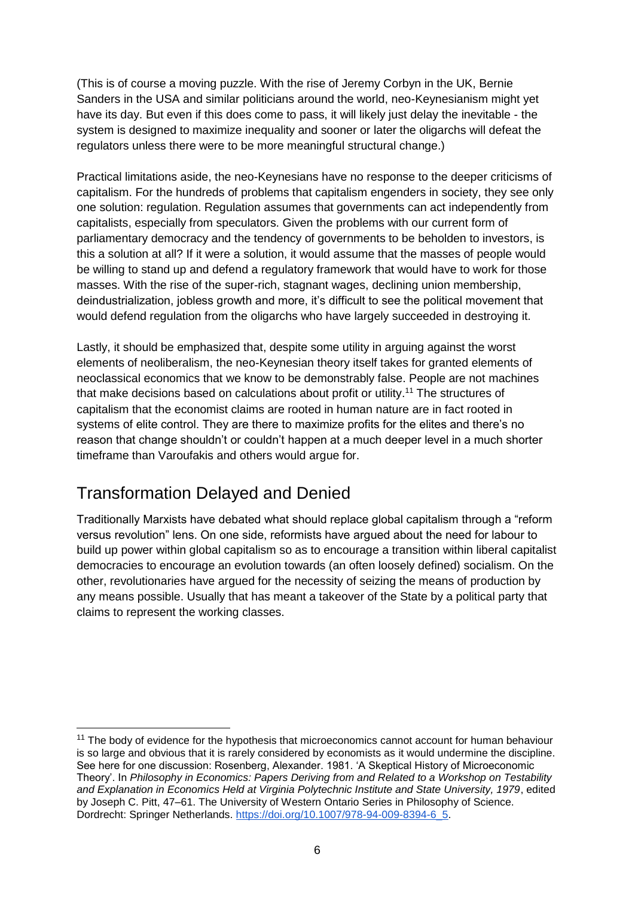(This is of course a moving puzzle. With the rise of Jeremy Corbyn in the UK, Bernie Sanders in the USA and similar politicians around the world, neo-Keynesianism might yet have its day. But even if this does come to pass, it will likely just delay the inevitable - the system is designed to maximize inequality and sooner or later the oligarchs will defeat the regulators unless there were to be more meaningful structural change.)

Practical limitations aside, the neo-Keynesians have no response to the deeper criticisms of capitalism. For the hundreds of problems that capitalism engenders in society, they see only one solution: regulation. Regulation assumes that governments can act independently from capitalists, especially from speculators. Given the problems with our current form of parliamentary democracy and the tendency of governments to be beholden to investors, is this a solution at all? If it were a solution, it would assume that the masses of people would be willing to stand up and defend a regulatory framework that would have to work for those masses. With the rise of the super-rich, stagnant wages, declining union membership, deindustrialization, jobless growth and more, it's difficult to see the political movement that would defend regulation from the oligarchs who have largely succeeded in destroying it.

Lastly, it should be emphasized that, despite some utility in arguing against the worst elements of neoliberalism, the neo-Keynesian theory itself takes for granted elements of neoclassical economics that we know to be demonstrably false. People are not machines that make decisions based on calculations about profit or utility.<sup>11</sup> The structures of capitalism that the economist claims are rooted in human nature are in fact rooted in systems of elite control. They are there to maximize profits for the elites and there's no reason that change shouldn't or couldn't happen at a much deeper level in a much shorter timeframe than Varoufakis and others would argue for.

# Transformation Delayed and Denied

-

Traditionally Marxists have debated what should replace global capitalism through a "reform versus revolution" lens. On one side, reformists have argued about the need for labour to build up power within global capitalism so as to encourage a transition within liberal capitalist democracies to encourage an evolution towards (an often loosely defined) socialism. On the other, revolutionaries have argued for the necessity of seizing the means of production by any means possible. Usually that has meant a takeover of the State by a political party that claims to represent the working classes.

 $11$  The body of evidence for the hypothesis that microeconomics cannot account for human behaviour is so large and obvious that it is rarely considered by economists as it would undermine the discipline. See here for one discussion: Rosenberg, Alexander. 1981. 'A Skeptical History of Microeconomic Theory'. In *Philosophy in Economics: Papers Deriving from and Related to a Workshop on Testability and Explanation in Economics Held at Virginia Polytechnic Institute and State University, 1979*, edited by Joseph C. Pitt, 47–61. The University of Western Ontario Series in Philosophy of Science. Dordrecht: Springer Netherlands[.](https://doi.org/10.1007/978-94-009-8394-6_5) [https://doi.org/10.1007/978-94-009-8394-6\\_5.](https://doi.org/10.1007/978-94-009-8394-6_5)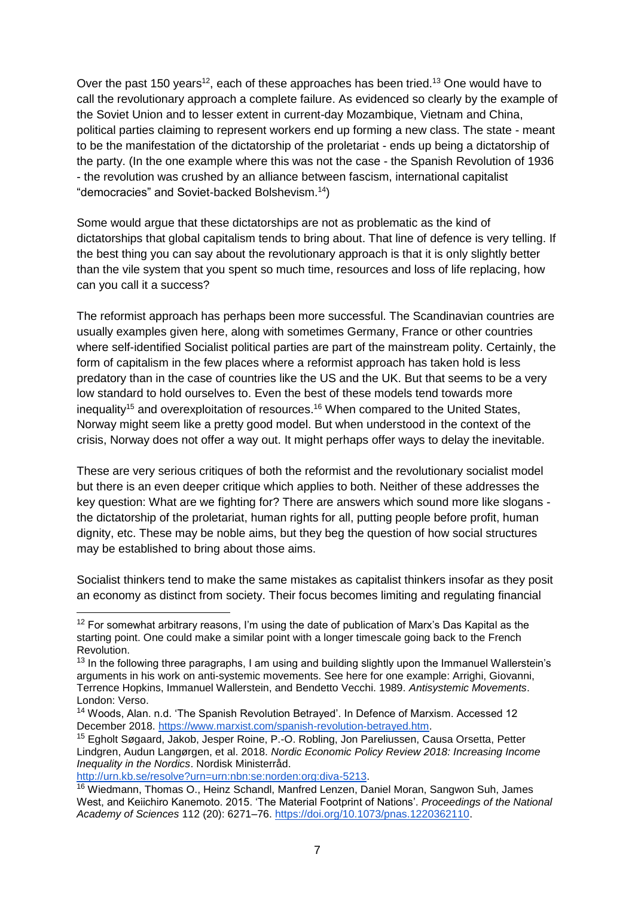Over the past 150 years<sup>12</sup>, each of these approaches has been tried.<sup>13</sup> One would have to call the revolutionary approach a complete failure. As evidenced so clearly by the example of the Soviet Union and to lesser extent in current-day Mozambique, Vietnam and China, political parties claiming to represent workers end up forming a new class. The state - meant to be the manifestation of the dictatorship of the proletariat - ends up being a dictatorship of the party. (In the one example where this was not the case - the Spanish Revolution of 1936 - the revolution was crushed by an alliance between fascism, international capitalist "democracies" and Soviet-backed Bolshevism.<sup>14</sup>)

Some would argue that these dictatorships are not as problematic as the kind of dictatorships that global capitalism tends to bring about. That line of defence is very telling. If the best thing you can say about the revolutionary approach is that it is only slightly better than the vile system that you spent so much time, resources and loss of life replacing, how can you call it a success?

The reformist approach has perhaps been more successful. The Scandinavian countries are usually examples given here, along with sometimes Germany, France or other countries where self-identified Socialist political parties are part of the mainstream polity. Certainly, the form of capitalism in the few places where a reformist approach has taken hold is less predatory than in the case of countries like the US and the UK. But that seems to be a very low standard to hold ourselves to. Even the best of these models tend towards more inequality<sup>15</sup> and overexploitation of resources.<sup>16</sup> When compared to the United States, Norway might seem like a pretty good model. But when understood in the context of the crisis, Norway does not offer a way out. It might perhaps offer ways to delay the inevitable.

These are very serious critiques of both the reformist and the revolutionary socialist model but there is an even deeper critique which applies to both. Neither of these addresses the key question: What are we fighting for? There are answers which sound more like slogans the dictatorship of the proletariat, human rights for all, putting people before profit, human dignity, etc. These may be noble aims, but they beg the question of how social structures may be established to bring about those aims.

Socialist thinkers tend to make the same mistakes as capitalist thinkers insofar as they posit an economy as distinct from society. Their focus becomes limiting and regulating financial

[http://urn.kb.se/resolve?urn=urn:nbn:se:norden:org:diva-5213.](http://urn.kb.se/resolve?urn=urn:nbn:se:norden:org:diva-5213)

 $12$  For somewhat arbitrary reasons, I'm using the date of publication of Marx's Das Kapital as the starting point. One could make a similar point with a longer timescale going back to the French Revolution.

<sup>&</sup>lt;sup>13</sup> In the following three paragraphs, I am using and building slightly upon the Immanuel Wallerstein's arguments in his work on anti-systemic movements. See here for one example: Arrighi, Giovanni, Terrence Hopkins, Immanuel Wallerstein, and Bendetto Vecchi. 1989. *Antisystemic Movements*. London: Verso.

<sup>14</sup> Woods, Alan. n.d. 'The Spanish Revolution Betrayed'. In Defence of Marxism. Accessed 12 December 2018. [https://www.marxist.com/spanish-revolution-betrayed.htm.](https://www.marxist.com/spanish-revolution-betrayed.htm)

<sup>15</sup> Egholt Søgaard, Jakob, Jesper Roine, P.-O. Robling, Jon Pareliussen, Causa Orsetta, Petter Lindgren, Audun Langørgen, et al. 2018. *Nordic Economic Policy Review 2018: Increasing Income Inequality in the Nordics*. Nordisk Ministerråd[.](http://urn.kb.se/resolve?urn=urn:nbn:se:norden:org:diva-5213)

<sup>&</sup>lt;sup>16</sup> Wiedmann, Thomas O., Heinz Schandl, Manfred Lenzen, Daniel Moran, Sangwon Suh, James West, and Keiichiro Kanemoto. 2015. 'The Material Footprint of Nations'. *Proceedings of the National Academy of Sciences* 112 (20): 6271–76[.](https://doi.org/10.1073/pnas.1220362110) [https://doi.org/10.1073/pnas.1220362110.](https://doi.org/10.1073/pnas.1220362110)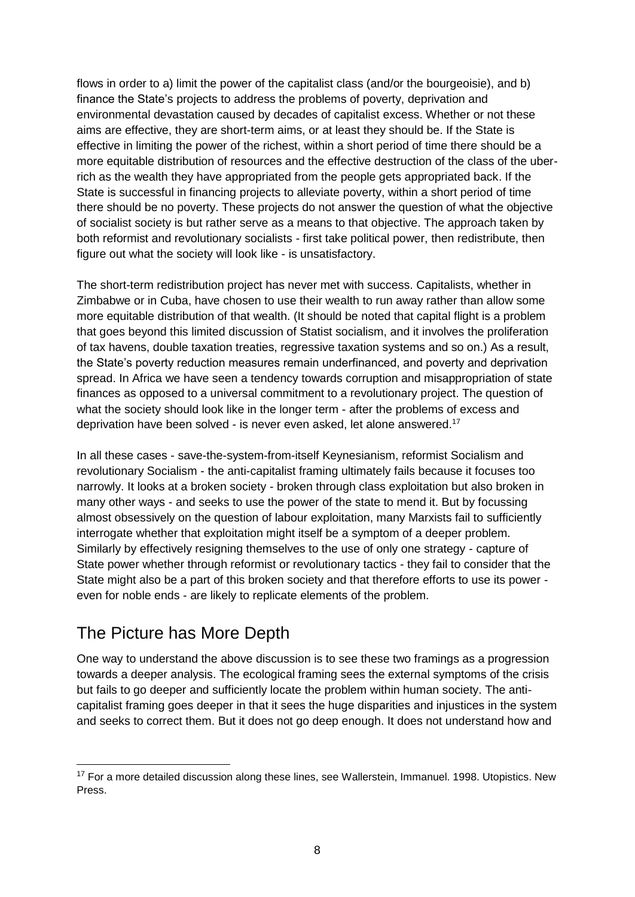flows in order to a) limit the power of the capitalist class (and/or the bourgeoisie), and b) finance the State's projects to address the problems of poverty, deprivation and environmental devastation caused by decades of capitalist excess. Whether or not these aims are effective, they are short-term aims, or at least they should be. If the State is effective in limiting the power of the richest, within a short period of time there should be a more equitable distribution of resources and the effective destruction of the class of the uberrich as the wealth they have appropriated from the people gets appropriated back. If the State is successful in financing projects to alleviate poverty, within a short period of time there should be no poverty. These projects do not answer the question of what the objective of socialist society is but rather serve as a means to that objective. The approach taken by both reformist and revolutionary socialists - first take political power, then redistribute, then figure out what the society will look like - is unsatisfactory.

The short-term redistribution project has never met with success. Capitalists, whether in Zimbabwe or in Cuba, have chosen to use their wealth to run away rather than allow some more equitable distribution of that wealth. (It should be noted that capital flight is a problem that goes beyond this limited discussion of Statist socialism, and it involves the proliferation of tax havens, double taxation treaties, regressive taxation systems and so on.) As a result, the State's poverty reduction measures remain underfinanced, and poverty and deprivation spread. In Africa we have seen a tendency towards corruption and misappropriation of state finances as opposed to a universal commitment to a revolutionary project. The question of what the society should look like in the longer term - after the problems of excess and deprivation have been solved - is never even asked, let alone answered.<sup>17</sup>

In all these cases - save-the-system-from-itself Keynesianism, reformist Socialism and revolutionary Socialism - the anti-capitalist framing ultimately fails because it focuses too narrowly. It looks at a broken society - broken through class exploitation but also broken in many other ways - and seeks to use the power of the state to mend it. But by focussing almost obsessively on the question of labour exploitation, many Marxists fail to sufficiently interrogate whether that exploitation might itself be a symptom of a deeper problem. Similarly by effectively resigning themselves to the use of only one strategy - capture of State power whether through reformist or revolutionary tactics - they fail to consider that the State might also be a part of this broken society and that therefore efforts to use its power even for noble ends - are likely to replicate elements of the problem.

### The Picture has More Depth

-

One way to understand the above discussion is to see these two framings as a progression towards a deeper analysis. The ecological framing sees the external symptoms of the crisis but fails to go deeper and sufficiently locate the problem within human society. The anticapitalist framing goes deeper in that it sees the huge disparities and injustices in the system and seeks to correct them. But it does not go deep enough. It does not understand how and

<sup>&</sup>lt;sup>17</sup> For a more detailed discussion along these lines, see Wallerstein, Immanuel. 1998. Utopistics. New Press.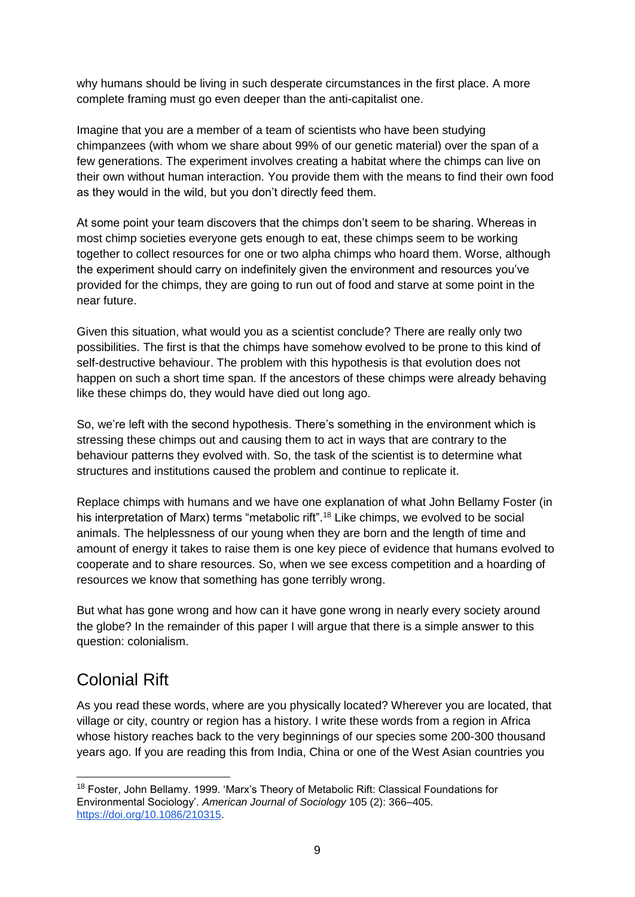why humans should be living in such desperate circumstances in the first place. A more complete framing must go even deeper than the anti-capitalist one.

Imagine that you are a member of a team of scientists who have been studying chimpanzees (with whom we share about 99% of our genetic material) over the span of a few generations. The experiment involves creating a habitat where the chimps can live on their own without human interaction. You provide them with the means to find their own food as they would in the wild, but you don't directly feed them.

At some point your team discovers that the chimps don't seem to be sharing. Whereas in most chimp societies everyone gets enough to eat, these chimps seem to be working together to collect resources for one or two alpha chimps who hoard them. Worse, although the experiment should carry on indefinitely given the environment and resources you've provided for the chimps, they are going to run out of food and starve at some point in the near future.

Given this situation, what would you as a scientist conclude? There are really only two possibilities. The first is that the chimps have somehow evolved to be prone to this kind of self-destructive behaviour. The problem with this hypothesis is that evolution does not happen on such a short time span. If the ancestors of these chimps were already behaving like these chimps do, they would have died out long ago.

So, we're left with the second hypothesis. There's something in the environment which is stressing these chimps out and causing them to act in ways that are contrary to the behaviour patterns they evolved with. So, the task of the scientist is to determine what structures and institutions caused the problem and continue to replicate it.

Replace chimps with humans and we have one explanation of what John Bellamy Foster (in his interpretation of Marx) terms "metabolic rift".<sup>18</sup> Like chimps, we evolved to be social animals. The helplessness of our young when they are born and the length of time and amount of energy it takes to raise them is one key piece of evidence that humans evolved to cooperate and to share resources. So, when we see excess competition and a hoarding of resources we know that something has gone terribly wrong.

But what has gone wrong and how can it have gone wrong in nearly every society around the globe? In the remainder of this paper I will argue that there is a simple answer to this question: colonialism.

# Colonial Rift

-

As you read these words, where are you physically located? Wherever you are located, that village or city, country or region has a history. I write these words from a region in Africa whose history reaches back to the very beginnings of our species some 200-300 thousand years ago. If you are reading this from India, China or one of the West Asian countries you

<sup>18</sup> Foster, John Bellamy. 1999. 'Marx's Theory of Metabolic Rift: Classical Foundations for Environmental Sociology'. *American Journal of Sociology* 105 (2): 366–405[.](https://doi.org/10.1086/210315) [https://doi.org/10.1086/210315.](https://doi.org/10.1086/210315)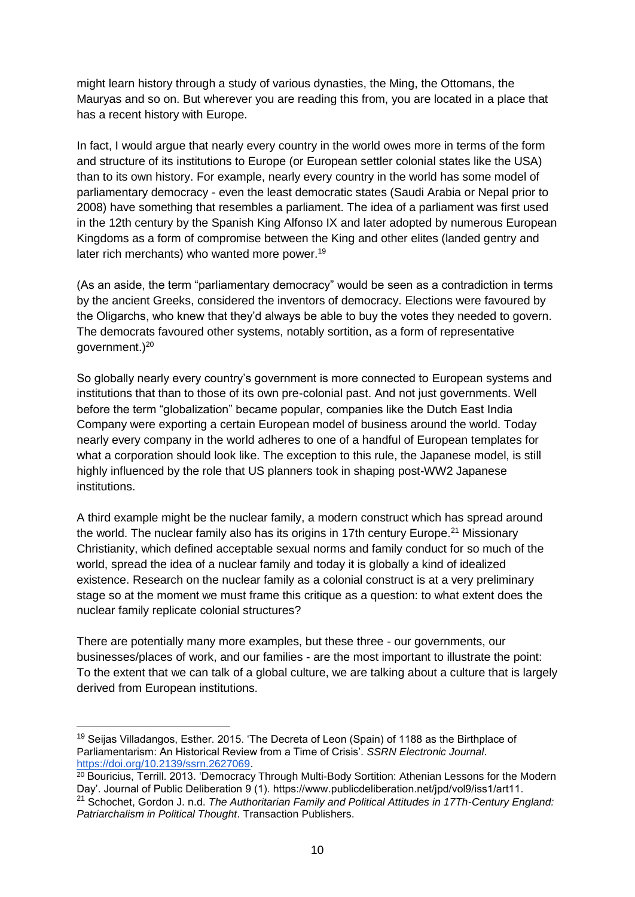might learn history through a study of various dynasties, the Ming, the Ottomans, the Mauryas and so on. But wherever you are reading this from, you are located in a place that has a recent history with Europe.

In fact, I would argue that nearly every country in the world owes more in terms of the form and structure of its institutions to Europe (or European settler colonial states like the USA) than to its own history. For example, nearly every country in the world has some model of parliamentary democracy - even the least democratic states (Saudi Arabia or Nepal prior to 2008) have something that resembles a parliament. The idea of a parliament was first used in the 12th century by the Spanish King Alfonso IX and later adopted by numerous European Kingdoms as a form of compromise between the King and other elites (landed gentry and later rich merchants) who wanted more power.<sup>19</sup>

(As an aside, the term "parliamentary democracy" would be seen as a contradiction in terms by the ancient Greeks, considered the inventors of democracy. Elections were favoured by the Oligarchs, who knew that they'd always be able to buy the votes they needed to govern. The democrats favoured other systems, notably sortition, as a form of representative aovernment. $)^{20}$ 

So globally nearly every country's government is more connected to European systems and institutions that than to those of its own pre-colonial past. And not just governments. Well before the term "globalization" became popular, companies like the Dutch East India Company were exporting a certain European model of business around the world. Today nearly every company in the world adheres to one of a handful of European templates for what a corporation should look like. The exception to this rule, the Japanese model, is still highly influenced by the role that US planners took in shaping post-WW2 Japanese institutions.

A third example might be the nuclear family, a modern construct which has spread around the world. The nuclear family also has its origins in 17th century Europe.<sup>21</sup> Missionary Christianity, which defined acceptable sexual norms and family conduct for so much of the world, spread the idea of a nuclear family and today it is globally a kind of idealized existence. Research on the nuclear family as a colonial construct is at a very preliminary stage so at the moment we must frame this critique as a question: to what extent does the nuclear family replicate colonial structures?

There are potentially many more examples, but these three - our governments, our businesses/places of work, and our families - are the most important to illustrate the point: To the extent that we can talk of a global culture, we are talking about a culture that is largely derived from European institutions.

<sup>&</sup>lt;sup>19</sup> Seijas Villadangos, Esther. 2015. 'The Decreta of Leon (Spain) of 1188 as the Birthplace of Parliamentarism: An Historical Review from a Time of Crisis'. *SSRN Electronic Journal*[.](https://doi.org/10.2139/ssrn.2627069) [https://doi.org/10.2139/ssrn.2627069.](https://doi.org/10.2139/ssrn.2627069)

<sup>20</sup> Bouricius, Terrill. 2013. 'Democracy Through Multi-Body Sortition: Athenian Lessons for the Modern Day'. Journal of Public Deliberation 9 (1). https://www.publicdeliberation.net/jpd/vol9/iss1/art11. <sup>21</sup> Schochet, Gordon J. n.d. *The Authoritarian Family and Political Attitudes in 17Th-Century England: Patriarchalism in Political Thought*. Transaction Publishers.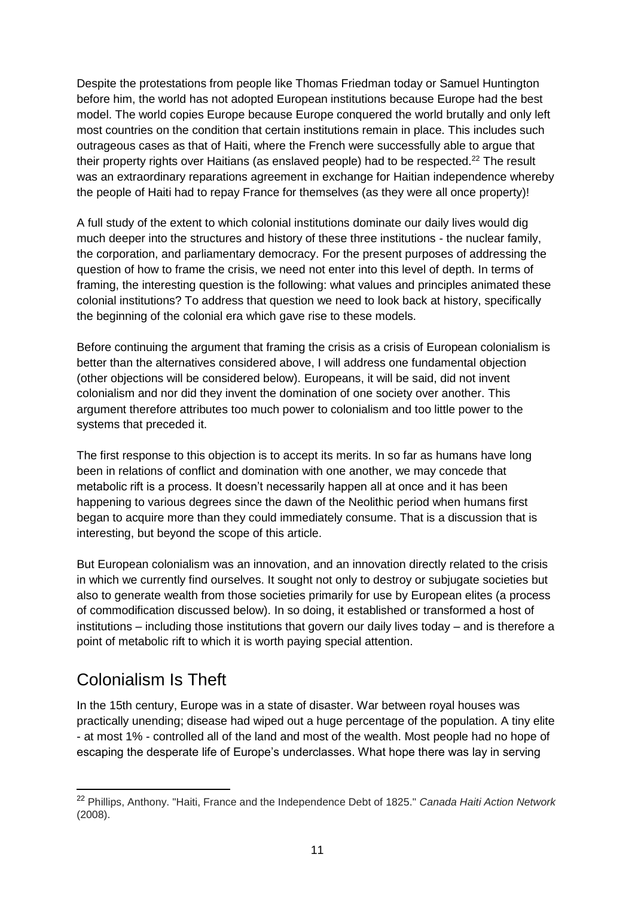Despite the protestations from people like Thomas Friedman today or Samuel Huntington before him, the world has not adopted European institutions because Europe had the best model. The world copies Europe because Europe conquered the world brutally and only left most countries on the condition that certain institutions remain in place. This includes such outrageous cases as that of Haiti, where the French were successfully able to argue that their property rights over Haitians (as enslaved people) had to be respected.<sup>22</sup> The result was an extraordinary reparations agreement in exchange for Haitian independence whereby the people of Haiti had to repay France for themselves (as they were all once property)!

A full study of the extent to which colonial institutions dominate our daily lives would dig much deeper into the structures and history of these three institutions - the nuclear family, the corporation, and parliamentary democracy. For the present purposes of addressing the question of how to frame the crisis, we need not enter into this level of depth. In terms of framing, the interesting question is the following: what values and principles animated these colonial institutions? To address that question we need to look back at history, specifically the beginning of the colonial era which gave rise to these models.

Before continuing the argument that framing the crisis as a crisis of European colonialism is better than the alternatives considered above, I will address one fundamental objection (other objections will be considered below). Europeans, it will be said, did not invent colonialism and nor did they invent the domination of one society over another. This argument therefore attributes too much power to colonialism and too little power to the systems that preceded it.

The first response to this objection is to accept its merits. In so far as humans have long been in relations of conflict and domination with one another, we may concede that metabolic rift is a process. It doesn't necessarily happen all at once and it has been happening to various degrees since the dawn of the Neolithic period when humans first began to acquire more than they could immediately consume. That is a discussion that is interesting, but beyond the scope of this article.

But European colonialism was an innovation, and an innovation directly related to the crisis in which we currently find ourselves. It sought not only to destroy or subjugate societies but also to generate wealth from those societies primarily for use by European elites (a process of commodification discussed below). In so doing, it established or transformed a host of institutions – including those institutions that govern our daily lives today – and is therefore a point of metabolic rift to which it is worth paying special attention.

# Colonialism Is Theft

-

In the 15th century, Europe was in a state of disaster. War between royal houses was practically unending; disease had wiped out a huge percentage of the population. A tiny elite - at most 1% - controlled all of the land and most of the wealth. Most people had no hope of escaping the desperate life of Europe's underclasses. What hope there was lay in serving

<sup>22</sup> Phillips, Anthony. "Haiti, France and the Independence Debt of 1825." *Canada Haiti Action Network* (2008).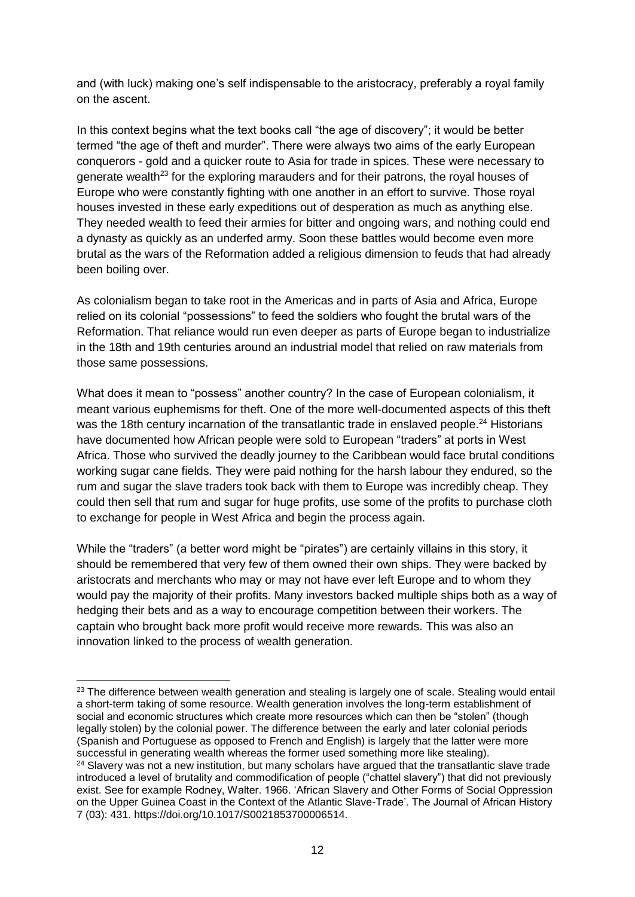and (with luck) making one's self indispensable to the aristocracy, preferably a royal family on the ascent.

In this context begins what the text books call "the age of discovery"; it would be better termed "the age of theft and murder". There were always two aims of the early European conquerors - gold and a quicker route to Asia for trade in spices. These were necessary to generate wealth<sup>23</sup> for the exploring marauders and for their patrons, the royal houses of Europe who were constantly fighting with one another in an effort to survive. Those royal houses invested in these early expeditions out of desperation as much as anything else. They needed wealth to feed their armies for bitter and ongoing wars, and nothing could end a dynasty as quickly as an underfed army. Soon these battles would become even more brutal as the wars of the Reformation added a religious dimension to feuds that had already been boiling over.

As colonialism began to take root in the Americas and in parts of Asia and Africa, Europe relied on its colonial "possessions" to feed the soldiers who fought the brutal wars of the Reformation. That reliance would run even deeper as parts of Europe began to industrialize in the 18th and 19th centuries around an industrial model that relied on raw materials from those same possessions.

What does it mean to "possess" another country? In the case of European colonialism, it meant various euphemisms for theft. One of the more well-documented aspects of this theft was the 18th century incarnation of the transatlantic trade in enslaved people.<sup>24</sup> Historians have documented how African people were sold to European "traders" at ports in West Africa. Those who survived the deadly journey to the Caribbean would face brutal conditions working sugar cane fields. They were paid nothing for the harsh labour they endured, so the rum and sugar the slave traders took back with them to Europe was incredibly cheap. They could then sell that rum and sugar for huge profits, use some of the profits to purchase cloth to exchange for people in West Africa and begin the process again.

While the "traders" (a better word might be "pirates") are certainly villains in this story, it should be remembered that very few of them owned their own ships. They were backed by aristocrats and merchants who may or may not have ever left Europe and to whom they would pay the majority of their profits. Many investors backed multiple ships both as a way of hedging their bets and as a way to encourage competition between their workers. The captain who brought back more profit would receive more rewards. This was also an innovation linked to the process of wealth generation.

<sup>&</sup>lt;sup>23</sup> The difference between wealth generation and stealing is largely one of scale. Stealing would entail a short-term taking of some resource. Wealth generation involves the long-term establishment of social and economic structures which create more resources which can then be "stolen" (though legally stolen) by the colonial power. The difference between the early and later colonial periods (Spanish and Portuguese as opposed to French and English) is largely that the latter were more successful in generating wealth whereas the former used something more like stealing).

<sup>&</sup>lt;sup>24</sup> Slavery was not a new institution, but many scholars have argued that the transatlantic slave trade introduced a level of brutality and commodification of people ("chattel slavery") that did not previously exist. See for example Rodney, Walter. 1966. 'African Slavery and Other Forms of Social Oppression on the Upper Guinea Coast in the Context of the Atlantic Slave-Trade'. The Journal of African History 7 (03): 431. https://doi.org/10.1017/S0021853700006514.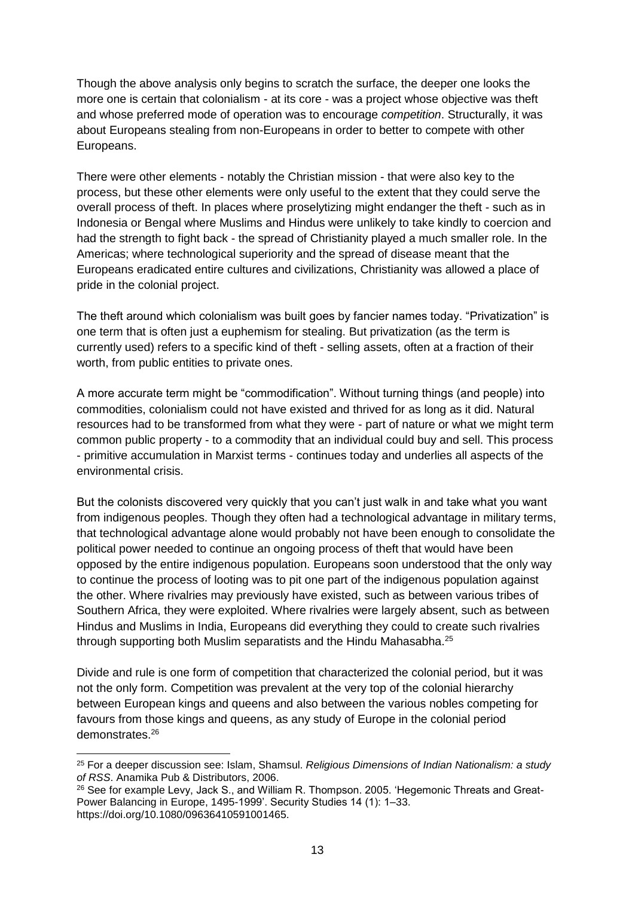Though the above analysis only begins to scratch the surface, the deeper one looks the more one is certain that colonialism - at its core - was a project whose objective was theft and whose preferred mode of operation was to encourage *competition*. Structurally, it was about Europeans stealing from non-Europeans in order to better to compete with other Europeans.

There were other elements - notably the Christian mission - that were also key to the process, but these other elements were only useful to the extent that they could serve the overall process of theft. In places where proselytizing might endanger the theft - such as in Indonesia or Bengal where Muslims and Hindus were unlikely to take kindly to coercion and had the strength to fight back - the spread of Christianity played a much smaller role. In the Americas; where technological superiority and the spread of disease meant that the Europeans eradicated entire cultures and civilizations, Christianity was allowed a place of pride in the colonial project.

The theft around which colonialism was built goes by fancier names today. "Privatization" is one term that is often just a euphemism for stealing. But privatization (as the term is currently used) refers to a specific kind of theft - selling assets, often at a fraction of their worth, from public entities to private ones.

A more accurate term might be "commodification". Without turning things (and people) into commodities, colonialism could not have existed and thrived for as long as it did. Natural resources had to be transformed from what they were - part of nature or what we might term common public property - to a commodity that an individual could buy and sell. This process - primitive accumulation in Marxist terms - continues today and underlies all aspects of the environmental crisis.

But the colonists discovered very quickly that you can't just walk in and take what you want from indigenous peoples. Though they often had a technological advantage in military terms, that technological advantage alone would probably not have been enough to consolidate the political power needed to continue an ongoing process of theft that would have been opposed by the entire indigenous population. Europeans soon understood that the only way to continue the process of looting was to pit one part of the indigenous population against the other. Where rivalries may previously have existed, such as between various tribes of Southern Africa, they were exploited. Where rivalries were largely absent, such as between Hindus and Muslims in India, Europeans did everything they could to create such rivalries through supporting both Muslim separatists and the Hindu Mahasabha.<sup>25</sup>

Divide and rule is one form of competition that characterized the colonial period, but it was not the only form. Competition was prevalent at the very top of the colonial hierarchy between European kings and queens and also between the various nobles competing for favours from those kings and queens, as any study of Europe in the colonial period demonstrates.<sup>26</sup>

<sup>25</sup> For a deeper discussion see: Islam, Shamsul. *Religious Dimensions of Indian Nationalism: a study of RSS*. Anamika Pub & Distributors, 2006.

<sup>&</sup>lt;sup>26</sup> See for example Levy, Jack S., and William R. Thompson. 2005. 'Hegemonic Threats and Great-Power Balancing in Europe, 1495-1999'. Security Studies 14 (1): 1–33. https://doi.org/10.1080/09636410591001465.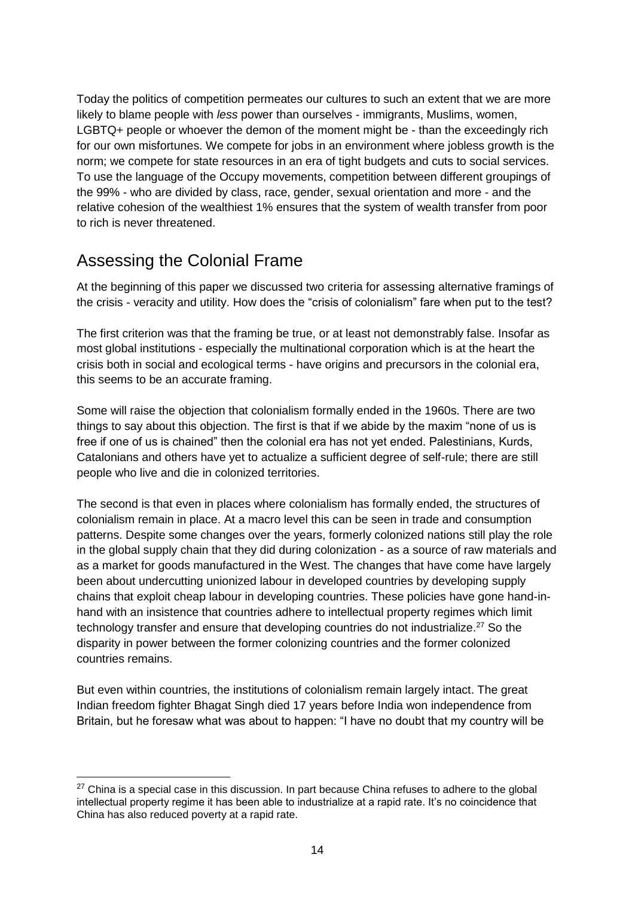Today the politics of competition permeates our cultures to such an extent that we are more likely to blame people with *less* power than ourselves - immigrants, Muslims, women, LGBTQ+ people or whoever the demon of the moment might be - than the exceedingly rich for our own misfortunes. We compete for jobs in an environment where jobless growth is the norm; we compete for state resources in an era of tight budgets and cuts to social services. To use the language of the Occupy movements, competition between different groupings of the 99% - who are divided by class, race, gender, sexual orientation and more - and the relative cohesion of the wealthiest 1% ensures that the system of wealth transfer from poor to rich is never threatened.

## Assessing the Colonial Frame

-

At the beginning of this paper we discussed two criteria for assessing alternative framings of the crisis - veracity and utility. How does the "crisis of colonialism" fare when put to the test?

The first criterion was that the framing be true, or at least not demonstrably false. Insofar as most global institutions - especially the multinational corporation which is at the heart the crisis both in social and ecological terms - have origins and precursors in the colonial era, this seems to be an accurate framing.

Some will raise the objection that colonialism formally ended in the 1960s. There are two things to say about this objection. The first is that if we abide by the maxim "none of us is free if one of us is chained" then the colonial era has not yet ended. Palestinians, Kurds, Catalonians and others have yet to actualize a sufficient degree of self-rule; there are still people who live and die in colonized territories.

The second is that even in places where colonialism has formally ended, the structures of colonialism remain in place. At a macro level this can be seen in trade and consumption patterns. Despite some changes over the years, formerly colonized nations still play the role in the global supply chain that they did during colonization - as a source of raw materials and as a market for goods manufactured in the West. The changes that have come have largely been about undercutting unionized labour in developed countries by developing supply chains that exploit cheap labour in developing countries. These policies have gone hand-inhand with an insistence that countries adhere to intellectual property regimes which limit technology transfer and ensure that developing countries do not industrialize.<sup>27</sup> So the disparity in power between the former colonizing countries and the former colonized countries remains.

But even within countries, the institutions of colonialism remain largely intact. The great Indian freedom fighter Bhagat Singh died 17 years before India won independence from Britain, but he foresaw what was about to happen: "I have no doubt that my country will be

 $27$  China is a special case in this discussion. In part because China refuses to adhere to the global intellectual property regime it has been able to industrialize at a rapid rate. It's no coincidence that China has also reduced poverty at a rapid rate.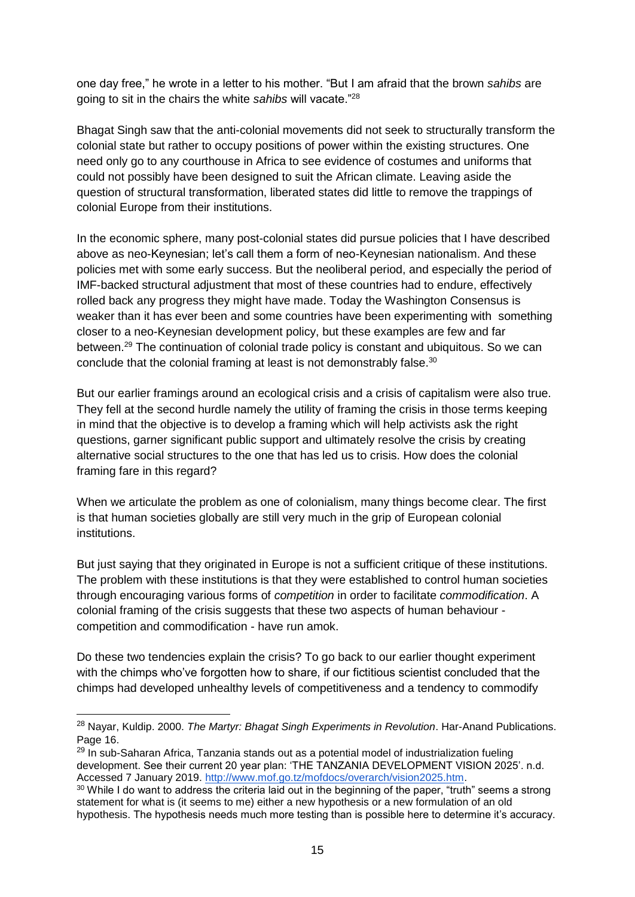one day free," he wrote in a letter to his mother. "But I am afraid that the brown *sahibs* are going to sit in the chairs the white *sahibs* will vacate."<sup>28</sup>

Bhagat Singh saw that the anti-colonial movements did not seek to structurally transform the colonial state but rather to occupy positions of power within the existing structures. One need only go to any courthouse in Africa to see evidence of costumes and uniforms that could not possibly have been designed to suit the African climate. Leaving aside the question of structural transformation, liberated states did little to remove the trappings of colonial Europe from their institutions.

In the economic sphere, many post-colonial states did pursue policies that I have described above as neo-Keynesian; let's call them a form of neo-Keynesian nationalism. And these policies met with some early success. But the neoliberal period, and especially the period of IMF-backed structural adjustment that most of these countries had to endure, effectively rolled back any progress they might have made. Today the Washington Consensus is weaker than it has ever been and some countries have been experimenting with something closer to a neo-Keynesian development policy, but these examples are few and far between.<sup>29</sup> The continuation of colonial trade policy is constant and ubiquitous. So we can conclude that the colonial framing at least is not demonstrably false.<sup>30</sup>

But our earlier framings around an ecological crisis and a crisis of capitalism were also true. They fell at the second hurdle namely the utility of framing the crisis in those terms keeping in mind that the objective is to develop a framing which will help activists ask the right questions, garner significant public support and ultimately resolve the crisis by creating alternative social structures to the one that has led us to crisis. How does the colonial framing fare in this regard?

When we articulate the problem as one of colonialism, many things become clear. The first is that human societies globally are still very much in the grip of European colonial institutions.

But just saying that they originated in Europe is not a sufficient critique of these institutions. The problem with these institutions is that they were established to control human societies through encouraging various forms of *competition* in order to facilitate *commodification*. A colonial framing of the crisis suggests that these two aspects of human behaviour competition and commodification - have run amok.

Do these two tendencies explain the crisis? To go back to our earlier thought experiment with the chimps who've forgotten how to share, if our fictitious scientist concluded that the chimps had developed unhealthy levels of competitiveness and a tendency to commodify

<sup>28</sup> Nayar, Kuldip. 2000. *The Martyr: Bhagat Singh Experiments in Revolution*. Har-Anand Publications. Page 16.

<sup>&</sup>lt;sup>29</sup> In sub-Saharan Africa, Tanzania stands out as a potential model of industrialization fueling development. See their current 20 year plan: 'THE TANZANIA DEVELOPMENT VISION 2025'. n.d. Accessed 7 January 2019. [http://www.mof.go.tz/mofdocs/overarch/vision2025.htm.](http://www.mof.go.tz/mofdocs/overarch/vision2025.htm)

<sup>&</sup>lt;sup>30</sup> While I do want to address the criteria laid out in the beginning of the paper, "truth" seems a strong statement for what is (it seems to me) either a new hypothesis or a new formulation of an old hypothesis. The hypothesis needs much more testing than is possible here to determine it's accuracy.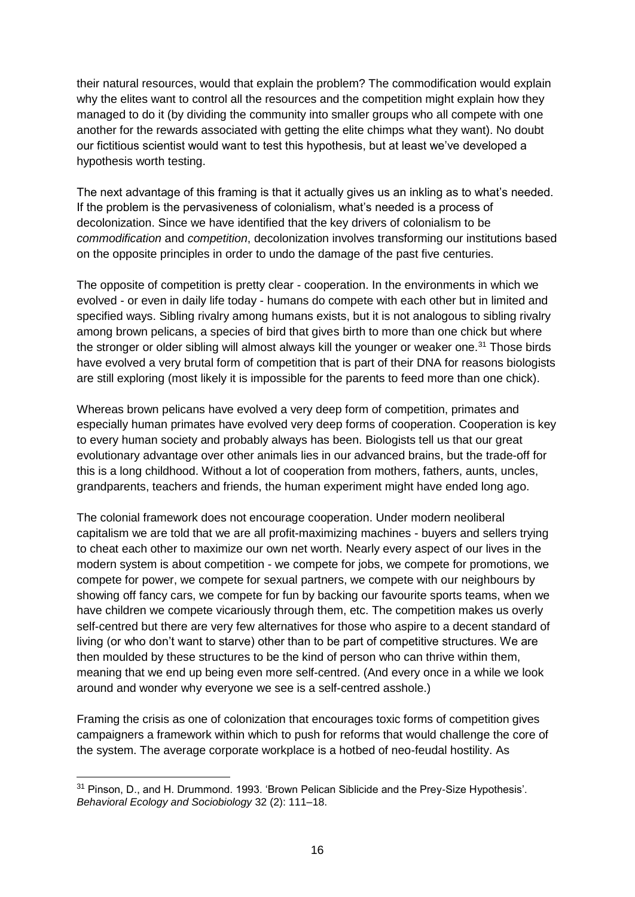their natural resources, would that explain the problem? The commodification would explain why the elites want to control all the resources and the competition might explain how they managed to do it (by dividing the community into smaller groups who all compete with one another for the rewards associated with getting the elite chimps what they want). No doubt our fictitious scientist would want to test this hypothesis, but at least we've developed a hypothesis worth testing.

The next advantage of this framing is that it actually gives us an inkling as to what's needed. If the problem is the pervasiveness of colonialism, what's needed is a process of decolonization. Since we have identified that the key drivers of colonialism to be *commodification* and *competition*, decolonization involves transforming our institutions based on the opposite principles in order to undo the damage of the past five centuries.

The opposite of competition is pretty clear - cooperation. In the environments in which we evolved - or even in daily life today - humans do compete with each other but in limited and specified ways. Sibling rivalry among humans exists, but it is not analogous to sibling rivalry among brown pelicans, a species of bird that gives birth to more than one chick but where the stronger or older sibling will almost always kill the younger or weaker one.<sup>31</sup> Those birds have evolved a very brutal form of competition that is part of their DNA for reasons biologists are still exploring (most likely it is impossible for the parents to feed more than one chick).

Whereas brown pelicans have evolved a very deep form of competition, primates and especially human primates have evolved very deep forms of cooperation. Cooperation is key to every human society and probably always has been. Biologists tell us that our great evolutionary advantage over other animals lies in our advanced brains, but the trade-off for this is a long childhood. Without a lot of cooperation from mothers, fathers, aunts, uncles, grandparents, teachers and friends, the human experiment might have ended long ago.

The colonial framework does not encourage cooperation. Under modern neoliberal capitalism we are told that we are all profit-maximizing machines - buyers and sellers trying to cheat each other to maximize our own net worth. Nearly every aspect of our lives in the modern system is about competition - we compete for jobs, we compete for promotions, we compete for power, we compete for sexual partners, we compete with our neighbours by showing off fancy cars, we compete for fun by backing our favourite sports teams, when we have children we compete vicariously through them, etc. The competition makes us overly self-centred but there are very few alternatives for those who aspire to a decent standard of living (or who don't want to starve) other than to be part of competitive structures. We are then moulded by these structures to be the kind of person who can thrive within them, meaning that we end up being even more self-centred. (And every once in a while we look around and wonder why everyone we see is a self-centred asshole.)

Framing the crisis as one of colonization that encourages toxic forms of competition gives campaigners a framework within which to push for reforms that would challenge the core of the system. The average corporate workplace is a hotbed of neo-feudal hostility. As

<sup>31</sup> Pinson, D., and H. Drummond. 1993. 'Brown Pelican Siblicide and the Prey-Size Hypothesis'. *Behavioral Ecology and Sociobiology* 32 (2): 111–18.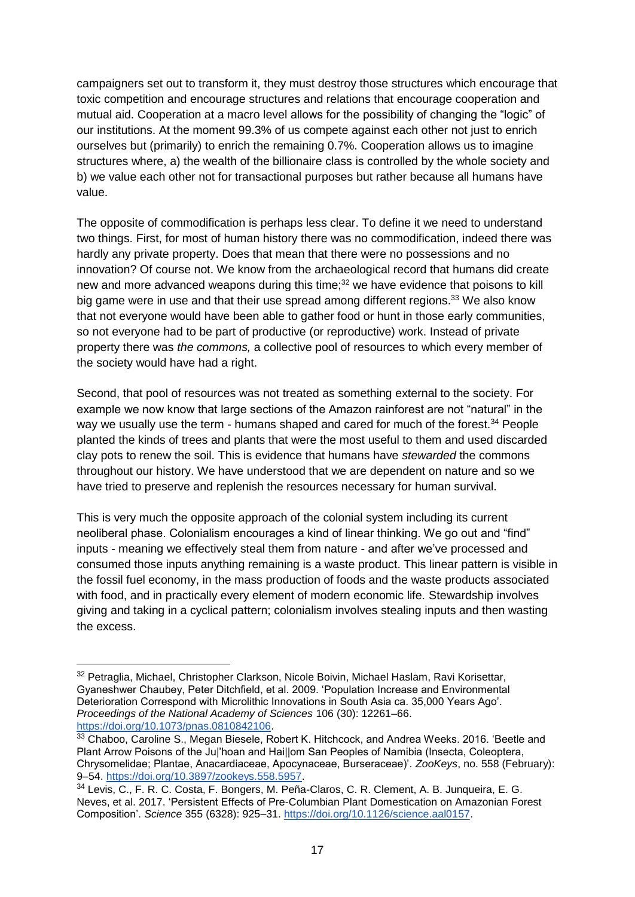campaigners set out to transform it, they must destroy those structures which encourage that toxic competition and encourage structures and relations that encourage cooperation and mutual aid. Cooperation at a macro level allows for the possibility of changing the "logic" of our institutions. At the moment 99.3% of us compete against each other not just to enrich ourselves but (primarily) to enrich the remaining 0.7%. Cooperation allows us to imagine structures where, a) the wealth of the billionaire class is controlled by the whole society and b) we value each other not for transactional purposes but rather because all humans have value.

The opposite of commodification is perhaps less clear. To define it we need to understand two things. First, for most of human history there was no commodification, indeed there was hardly any private property. Does that mean that there were no possessions and no innovation? Of course not. We know from the archaeological record that humans did create new and more advanced weapons during this time;<sup>32</sup> we have evidence that poisons to kill big game were in use and that their use spread among different regions.<sup>33</sup> We also know that not everyone would have been able to gather food or hunt in those early communities, so not everyone had to be part of productive (or reproductive) work. Instead of private property there was *the commons,* a collective pool of resources to which every member of the society would have had a right.

Second, that pool of resources was not treated as something external to the society. For example we now know that large sections of the Amazon rainforest are not "natural" in the way we usually use the term - humans shaped and cared for much of the forest.<sup>34</sup> People planted the kinds of trees and plants that were the most useful to them and used discarded clay pots to renew the soil. This is evidence that humans have *stewarded* the commons throughout our history. We have understood that we are dependent on nature and so we have tried to preserve and replenish the resources necessary for human survival.

This is very much the opposite approach of the colonial system including its current neoliberal phase. Colonialism encourages a kind of linear thinking. We go out and "find" inputs - meaning we effectively steal them from nature - and after we've processed and consumed those inputs anything remaining is a waste product. This linear pattern is visible in the fossil fuel economy, in the mass production of foods and the waste products associated with food, and in practically every element of modern economic life. Stewardship involves giving and taking in a cyclical pattern; colonialism involves stealing inputs and then wasting the excess.

<sup>32</sup> Petraglia, Michael, Christopher Clarkson, Nicole Boivin, Michael Haslam, Ravi Korisettar, Gyaneshwer Chaubey, Peter Ditchfield, et al. 2009. 'Population Increase and Environmental Deterioration Correspond with Microlithic Innovations in South Asia ca. 35,000 Years Ago'. *Proceedings of the National Academy of Sciences* 106 (30): 12261–66[.](https://doi.org/10.1073/pnas.0810842106) [https://doi.org/10.1073/pnas.0810842106.](https://doi.org/10.1073/pnas.0810842106)

<sup>&</sup>lt;sup>33</sup> Chaboo, Caroline S., Megan Biesele, Robert K. Hitchcock, and Andrea Weeks. 2016. 'Beetle and Plant Arrow Poisons of the Ju|'hoan and Hai||om San Peoples of Namibia (Insecta, Coleoptera, Chrysomelidae; Plantae, Anacardiaceae, Apocynaceae, Burseraceae)'. *ZooKeys*, no. 558 (February): 9–54. [https://doi.org/10.3897/zookeys.558.5957.](https://doi.org/10.3897/zookeys.558.5957)

<sup>34</sup> Levis, C., F. R. C. Costa, F. Bongers, M. Peña-Claros, C. R. Clement, A. B. Junqueira, E. G. Neves, et al. 2017. 'Persistent Effects of Pre-Columbian Plant Domestication on Amazonian Forest Composition'. *Science* 355 (6328): 925–31. [https://doi.org/10.1126/science.aal0157.](https://doi.org/10.1126/science.aal0157)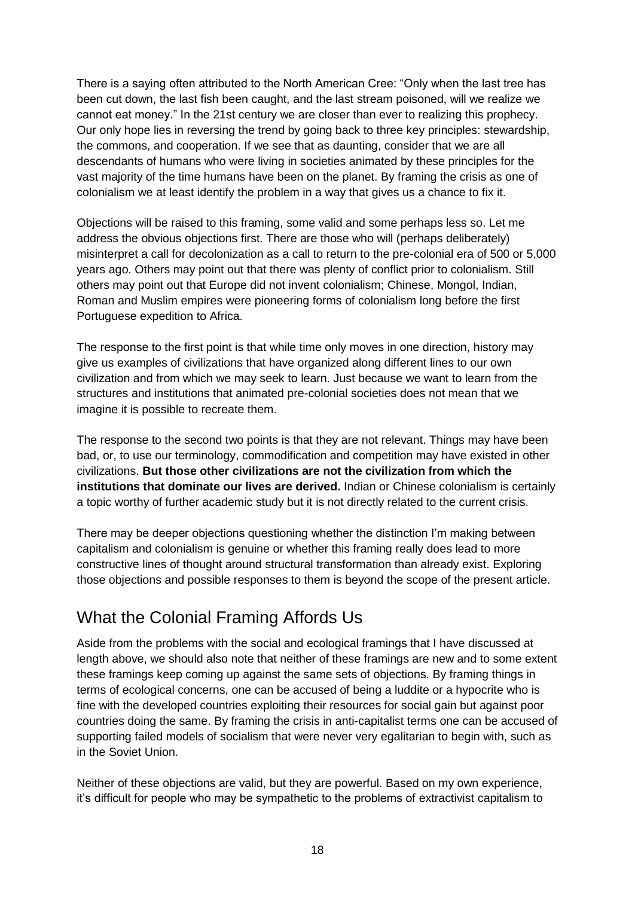There is a saying often attributed to the North American Cree: "Only when the last tree has been cut down, the last fish been caught, and the last stream poisoned, will we realize we cannot eat money." In the 21st century we are closer than ever to realizing this prophecy. Our only hope lies in reversing the trend by going back to three key principles: stewardship, the commons, and cooperation. If we see that as daunting, consider that we are all descendants of humans who were living in societies animated by these principles for the vast majority of the time humans have been on the planet. By framing the crisis as one of colonialism we at least identify the problem in a way that gives us a chance to fix it.

Objections will be raised to this framing, some valid and some perhaps less so. Let me address the obvious objections first. There are those who will (perhaps deliberately) misinterpret a call for decolonization as a call to return to the pre-colonial era of 500 or 5,000 years ago. Others may point out that there was plenty of conflict prior to colonialism. Still others may point out that Europe did not invent colonialism; Chinese, Mongol, Indian, Roman and Muslim empires were pioneering forms of colonialism long before the first Portuguese expedition to Africa.

The response to the first point is that while time only moves in one direction, history may give us examples of civilizations that have organized along different lines to our own civilization and from which we may seek to learn. Just because we want to learn from the structures and institutions that animated pre-colonial societies does not mean that we imagine it is possible to recreate them.

The response to the second two points is that they are not relevant. Things may have been bad, or, to use our terminology, commodification and competition may have existed in other civilizations. **But those other civilizations are not the civilization from which the institutions that dominate our lives are derived.** Indian or Chinese colonialism is certainly a topic worthy of further academic study but it is not directly related to the current crisis.

There may be deeper objections questioning whether the distinction I'm making between capitalism and colonialism is genuine or whether this framing really does lead to more constructive lines of thought around structural transformation than already exist. Exploring those objections and possible responses to them is beyond the scope of the present article.

# What the Colonial Framing Affords Us

Aside from the problems with the social and ecological framings that I have discussed at length above, we should also note that neither of these framings are new and to some extent these framings keep coming up against the same sets of objections. By framing things in terms of ecological concerns, one can be accused of being a luddite or a hypocrite who is fine with the developed countries exploiting their resources for social gain but against poor countries doing the same. By framing the crisis in anti-capitalist terms one can be accused of supporting failed models of socialism that were never very egalitarian to begin with, such as in the Soviet Union.

Neither of these objections are valid, but they are powerful. Based on my own experience, it's difficult for people who may be sympathetic to the problems of extractivist capitalism to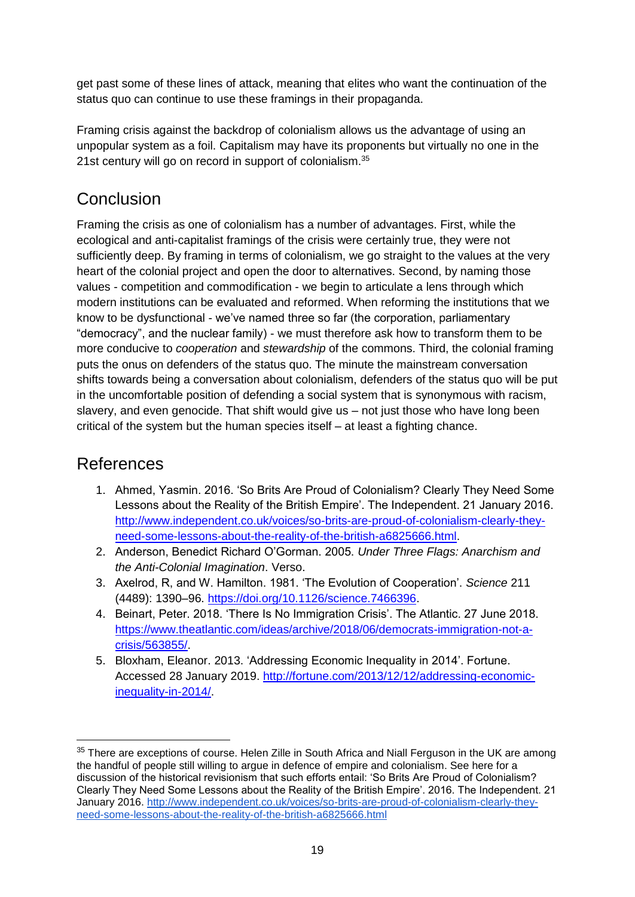get past some of these lines of attack, meaning that elites who want the continuation of the status quo can continue to use these framings in their propaganda.

Framing crisis against the backdrop of colonialism allows us the advantage of using an unpopular system as a foil. Capitalism may have its proponents but virtually no one in the 21st century will go on record in support of colonialism.<sup>35</sup>

## Conclusion

Framing the crisis as one of colonialism has a number of advantages. First, while the ecological and anti-capitalist framings of the crisis were certainly true, they were not sufficiently deep. By framing in terms of colonialism, we go straight to the values at the very heart of the colonial project and open the door to alternatives. Second, by naming those values - competition and commodification - we begin to articulate a lens through which modern institutions can be evaluated and reformed. When reforming the institutions that we know to be dysfunctional - we've named three so far (the corporation, parliamentary "democracy", and the nuclear family) - we must therefore ask how to transform them to be more conducive to *cooperation* and *stewardship* of the commons. Third, the colonial framing puts the onus on defenders of the status quo. The minute the mainstream conversation shifts towards being a conversation about colonialism, defenders of the status quo will be put in the uncomfortable position of defending a social system that is synonymous with racism, slavery, and even genocide. That shift would give us – not just those who have long been critical of the system but the human species itself – at least a fighting chance.

### References

- 1. Ahmed, Yasmin. 2016. 'So Brits Are Proud of Colonialism? Clearly They Need Some Lessons about the Reality of the British Empire'. The Independent. 21 January 2016. [http://www.independent.co.uk/voices/so-brits-are-proud-of-colonialism-clearly-they](http://www.independent.co.uk/voices/so-brits-are-proud-of-colonialism-clearly-they-need-some-lessons-about-the-reality-of-the-british-a6825666.html)[need-some-lessons-about-the-reality-of-the-british-a6825666.html.](http://www.independent.co.uk/voices/so-brits-are-proud-of-colonialism-clearly-they-need-some-lessons-about-the-reality-of-the-british-a6825666.html)
- 2. Anderson, Benedict Richard O'Gorman. 2005. *Under Three Flags: Anarchism and the Anti-Colonial Imagination*. Verso.
- 3. Axelrod, R, and W. Hamilton. 1981. 'The Evolution of Cooperation'. *Science* 211 (4489): 1390–96. [https://doi.org/10.1126/science.7466396.](https://doi.org/10.1126/science.7466396)
- 4. Beinart, Peter. 2018. 'There Is No Immigration Crisis'. The Atlantic. 27 June 2018. [https://www.theatlantic.com/ideas/archive/2018/06/democrats-immigration-not-a](https://www.theatlantic.com/ideas/archive/2018/06/democrats-immigration-not-a-crisis/563855/)[crisis/563855/.](https://www.theatlantic.com/ideas/archive/2018/06/democrats-immigration-not-a-crisis/563855/)
- 5. Bloxham, Eleanor. 2013. 'Addressing Economic Inequality in 2014'. Fortune. Accessed 28 January 2019. [http://fortune.com/2013/12/12/addressing-economic](http://fortune.com/2013/12/12/addressing-economic-inequality-in-2014/)[inequality-in-2014/.](http://fortune.com/2013/12/12/addressing-economic-inequality-in-2014/)

<sup>&</sup>lt;sup>35</sup> There are exceptions of course. Helen Zille in South Africa and Niall Ferguson in the UK are among the handful of people still willing to argue in defence of empire and colonialism. See here for a discussion of the historical revisionism that such efforts entail: 'So Brits Are Proud of Colonialism? Clearly They Need Some Lessons about the Reality of the British Empire'. 2016. The Independent. 21 January 2016[.](http://www.independent.co.uk/voices/so-brits-are-proud-of-colonialism-clearly-they-need-some-lessons-about-the-reality-of-the-british-a6825666.html) [http://www.independent.co.uk/voices/so-brits-are-proud-of-colonialism-clearly-they](http://www.independent.co.uk/voices/so-brits-are-proud-of-colonialism-clearly-they-need-some-lessons-about-the-reality-of-the-british-a6825666.html)[need-some-lessons-about-the-reality-of-the-british-a6825666.html](http://www.independent.co.uk/voices/so-brits-are-proud-of-colonialism-clearly-they-need-some-lessons-about-the-reality-of-the-british-a6825666.html)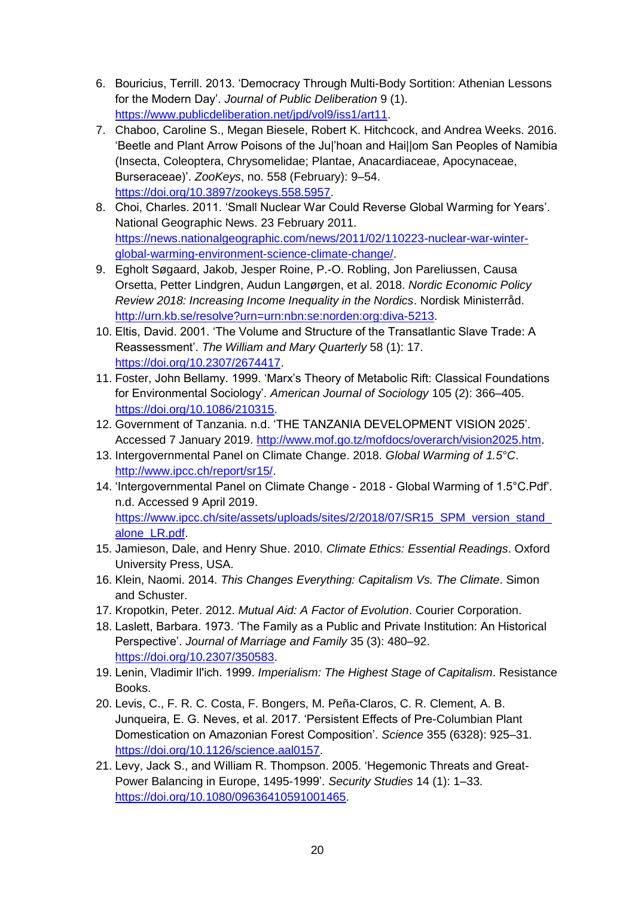- 6. Bouricius, Terrill. 2013. 'Democracy Through Multi-Body Sortition: Athenian Lessons for the Modern Day'. *Journal of Public Deliberation* 9 (1). [https://www.publicdeliberation.net/jpd/vol9/iss1/art11.](https://www.publicdeliberation.net/jpd/vol9/iss1/art11)
- 7. Chaboo, Caroline S., Megan Biesele, Robert K. Hitchcock, and Andrea Weeks. 2016. 'Beetle and Plant Arrow Poisons of the Ju|'hoan and Hai||om San Peoples of Namibia (Insecta, Coleoptera, Chrysomelidae; Plantae, Anacardiaceae, Apocynaceae, Burseraceae)'. *ZooKeys*, no. 558 (February): 9–54. [https://doi.org/10.3897/zookeys.558.5957.](https://doi.org/10.3897/zookeys.558.5957)
- 8. Choi, Charles. 2011. 'Small Nuclear War Could Reverse Global Warming for Years'. National Geographic News. 23 February 2011. [https://news.nationalgeographic.com/news/2011/02/110223-nuclear-war-winter](https://news.nationalgeographic.com/news/2011/02/110223-nuclear-war-winter-global-warming-environment-science-climate-change/)[global-warming-environment-science-climate-change/.](https://news.nationalgeographic.com/news/2011/02/110223-nuclear-war-winter-global-warming-environment-science-climate-change/)
- 9. Egholt Søgaard, Jakob, Jesper Roine, P.-O. Robling, Jon Pareliussen, Causa Orsetta, Petter Lindgren, Audun Langørgen, et al. 2018. *Nordic Economic Policy Review 2018: Increasing Income Inequality in the Nordics*. Nordisk Ministerråd. [http://urn.kb.se/resolve?urn=urn:nbn:se:norden:org:diva-5213.](http://urn.kb.se/resolve?urn=urn:nbn:se:norden:org:diva-5213)
- 10. Eltis, David. 2001. 'The Volume and Structure of the Transatlantic Slave Trade: A Reassessment'. *The William and Mary Quarterly* 58 (1): 17. [https://doi.org/10.2307/2674417.](https://doi.org/10.2307/2674417)
- 11. Foster, John Bellamy. 1999. 'Marx's Theory of Metabolic Rift: Classical Foundations for Environmental Sociology'. *American Journal of Sociology* 105 (2): 366–405. [https://doi.org/10.1086/210315.](https://doi.org/10.1086/210315)
- 12. Government of Tanzania. n.d. 'THE TANZANIA DEVELOPMENT VISION 2025'. Accessed 7 January 2019. [http://www.mof.go.tz/mofdocs/overarch/vision2025.htm.](http://www.mof.go.tz/mofdocs/overarch/vision2025.htm)
- 13. Intergovernmental Panel on Climate Change. 2018. *Global Warming of 1.5°C*. [http://www.ipcc.ch/report/sr15/.](http://www.ipcc.ch/report/sr15/)
- 14. 'Intergovernmental Panel on Climate Change 2018 Global Warming of 1.5°C.Pdf'. n.d. Accessed 9 April 2019. [https://www.ipcc.ch/site/assets/uploads/sites/2/2018/07/SR15\\_SPM\\_version\\_stand\\_](https://www.ipcc.ch/site/assets/uploads/sites/2/2018/07/SR15_SPM_version_stand_alone_LR.pdf) [alone\\_LR.pdf.](https://www.ipcc.ch/site/assets/uploads/sites/2/2018/07/SR15_SPM_version_stand_alone_LR.pdf)
- 15. Jamieson, Dale, and Henry Shue. 2010. *Climate Ethics: Essential Readings*. Oxford University Press, USA.
- 16. Klein, Naomi. 2014. *This Changes Everything: Capitalism Vs. The Climate*. Simon and Schuster.
- 17. Kropotkin, Peter. 2012. *Mutual Aid: A Factor of Evolution*. Courier Corporation.
- 18. Laslett, Barbara. 1973. 'The Family as a Public and Private Institution: An Historical Perspective'. *Journal of Marriage and Family* 35 (3): 480–92. [https://doi.org/10.2307/350583.](https://doi.org/10.2307/350583)
- 19. Lenin, Vladimir Ilʹich. 1999. *Imperialism: The Highest Stage of Capitalism*. Resistance Books.
- 20. Levis, C., F. R. C. Costa, F. Bongers, M. Peña-Claros, C. R. Clement, A. B. Junqueira, E. G. Neves, et al. 2017. 'Persistent Effects of Pre-Columbian Plant Domestication on Amazonian Forest Composition'. *Science* 355 (6328): 925–31. [https://doi.org/10.1126/science.aal0157.](https://doi.org/10.1126/science.aal0157)
- 21. Levy, Jack S., and William R. Thompson. 2005. 'Hegemonic Threats and Great-Power Balancing in Europe, 1495-1999'. *Security Studies* 14 (1): 1–33. [https://doi.org/10.1080/09636410591001465.](https://doi.org/10.1080/09636410591001465)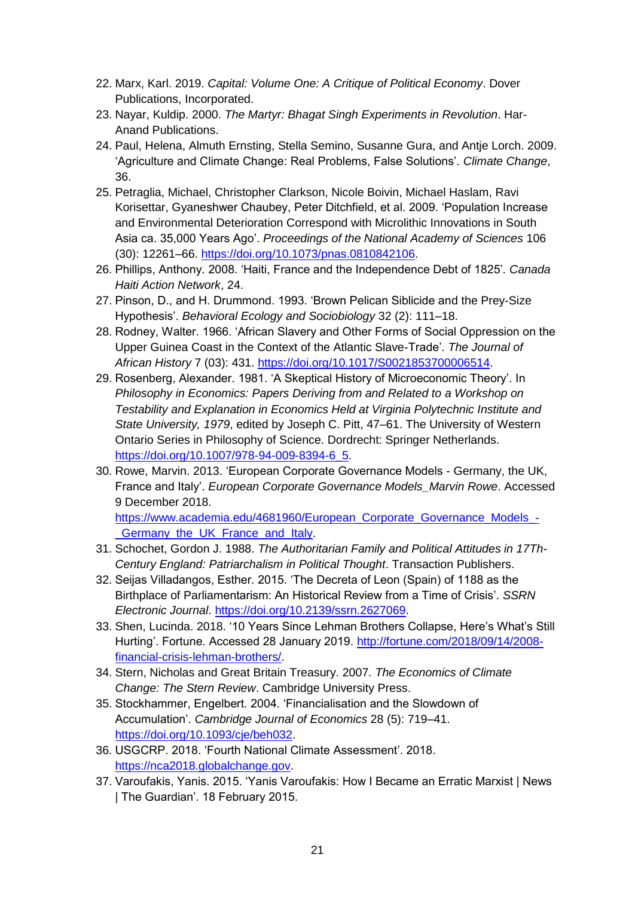- 22. Marx, Karl. 2019. *Capital: Volume One: A Critique of Political Economy*. Dover Publications, Incorporated.
- 23. Nayar, Kuldip. 2000. *The Martyr: Bhagat Singh Experiments in Revolution*. Har-Anand Publications.
- 24. Paul, Helena, Almuth Ernsting, Stella Semino, Susanne Gura, and Antje Lorch. 2009. 'Agriculture and Climate Change: Real Problems, False Solutions'. *Climate Change*, 36.
- 25. Petraglia, Michael, Christopher Clarkson, Nicole Boivin, Michael Haslam, Ravi Korisettar, Gyaneshwer Chaubey, Peter Ditchfield, et al. 2009. 'Population Increase and Environmental Deterioration Correspond with Microlithic Innovations in South Asia ca. 35,000 Years Ago'. *Proceedings of the National Academy of Sciences* 106 (30): 12261–66. [https://doi.org/10.1073/pnas.0810842106.](https://doi.org/10.1073/pnas.0810842106)
- 26. Phillips, Anthony. 2008. 'Haiti, France and the Independence Debt of 1825'. *Canada Haiti Action Network*, 24.
- 27. Pinson, D., and H. Drummond. 1993. 'Brown Pelican Siblicide and the Prey-Size Hypothesis'. *Behavioral Ecology and Sociobiology* 32 (2): 111–18.
- 28. Rodney, Walter. 1966. 'African Slavery and Other Forms of Social Oppression on the Upper Guinea Coast in the Context of the Atlantic Slave-Trade'. *The Journal of African History* 7 (03): 431. [https://doi.org/10.1017/S0021853700006514.](https://doi.org/10.1017/S0021853700006514)
- 29. Rosenberg, Alexander. 1981. 'A Skeptical History of Microeconomic Theory'. In *Philosophy in Economics: Papers Deriving from and Related to a Workshop on Testability and Explanation in Economics Held at Virginia Polytechnic Institute and State University, 1979*, edited by Joseph C. Pitt, 47–61. The University of Western Ontario Series in Philosophy of Science. Dordrecht: Springer Netherlands. [https://doi.org/10.1007/978-94-009-8394-6\\_5.](https://doi.org/10.1007/978-94-009-8394-6_5)
- 30. Rowe, Marvin. 2013. 'European Corporate Governance Models Germany, the UK, France and Italy'. *European Corporate Governance Models\_Marvin Rowe*. Accessed 9 December 2018. [https://www.academia.edu/4681960/European\\_Corporate\\_Governance\\_Models\\_-](https://www.academia.edu/4681960/European_Corporate_Governance_Models_-_Germany_the_UK_France_and_Italy)

[\\_Germany\\_the\\_UK\\_France\\_and\\_Italy.](https://www.academia.edu/4681960/European_Corporate_Governance_Models_-_Germany_the_UK_France_and_Italy)

- 31. Schochet, Gordon J. 1988. *The Authoritarian Family and Political Attitudes in 17Th-Century England: Patriarchalism in Political Thought*. Transaction Publishers.
- 32. Seijas Villadangos, Esther. 2015. 'The Decreta of Leon (Spain) of 1188 as the Birthplace of Parliamentarism: An Historical Review from a Time of Crisis'. *SSRN Electronic Journal*. [https://doi.org/10.2139/ssrn.2627069.](https://doi.org/10.2139/ssrn.2627069)
- 33. Shen, Lucinda. 2018. '10 Years Since Lehman Brothers Collapse, Here's What's Still Hurting'. Fortune. Accessed 28 January 2019. [http://fortune.com/2018/09/14/2008](http://fortune.com/2018/09/14/2008-financial-crisis-lehman-brothers/) [financial-crisis-lehman-brothers/.](http://fortune.com/2018/09/14/2008-financial-crisis-lehman-brothers/)
- 34. Stern, Nicholas and Great Britain Treasury. 2007. *The Economics of Climate Change: The Stern Review*. Cambridge University Press.
- 35. Stockhammer, Engelbert. 2004. 'Financialisation and the Slowdown of Accumulation'. *Cambridge Journal of Economics* 28 (5): 719–41. [https://doi.org/10.1093/cje/beh032.](https://doi.org/10.1093/cje/beh032)
- 36. USGCRP. 2018. 'Fourth National Climate Assessment'. 2018. [https://nca2018.globalchange.gov.](https://nca2018.globalchange.gov/)
- 37. Varoufakis, Yanis. 2015. 'Yanis Varoufakis: How I Became an Erratic Marxist | News | The Guardian'. 18 February 2015.